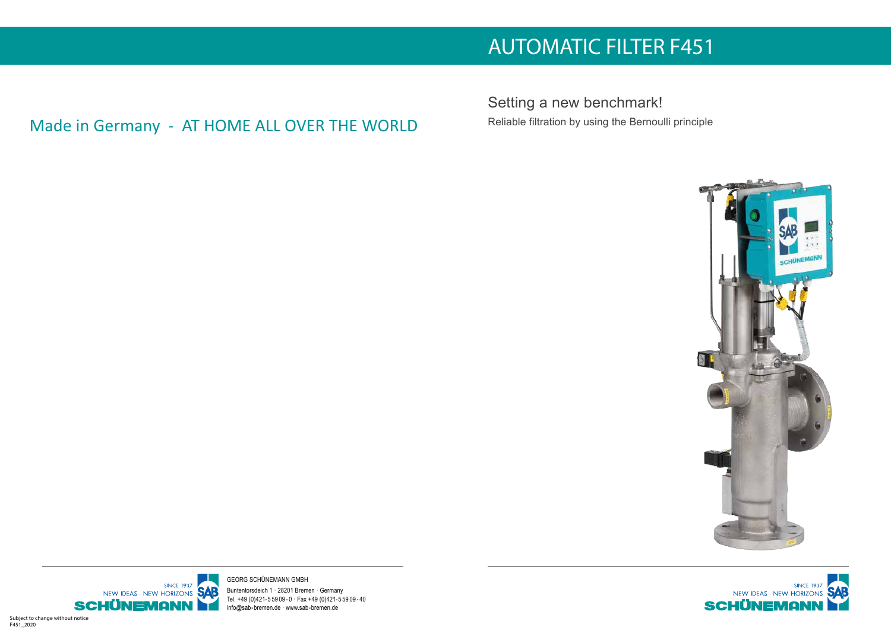Setting a new benchmark! Reliable filtration by using the Bernoulli principle



Georg Schünemann GmbH Buntentorsdeich 1 · 28201 Bremen · Germany Tel. +49 (0)421-5 59 09 - 0 · Fax +49 (0)421-5 59 09 - 40 info@sab-bremen.de · www.sab-bremen.de

# AUTOMATIC FILTER F451

Made in Germany - AT HOME ALL OVER THE WORLD

Subject to change without notice F451\_2020





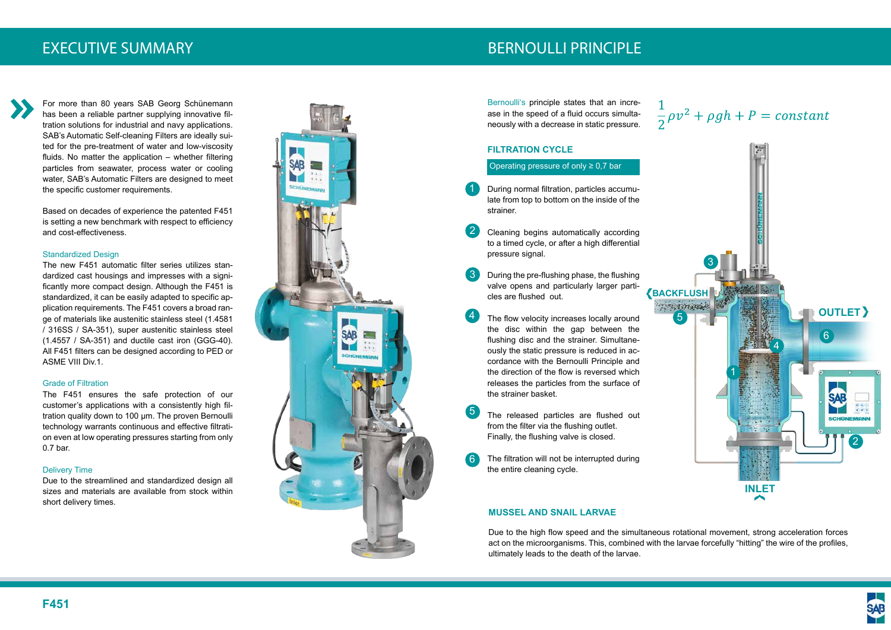EXECUTIVE SUMMARY DESCRIPTION OF THE RESERVE EXECUTIVE SUMMARY

### **FILTRATION CYCLE**

Operating pressure of only  $\geq 0.7$  bar

- During normal filtration, particles accumulate from top to bottom on the inside of the strainer. 1
- Cleaning begins automatically according to a timed cycle, or after a high differential pressure signal. 2
- During the pre-flushing phase, the flushing valve opens and particularly larger particles are flushed out. 3

- The flow velocity increases locally around the disc within the gap between the flushing disc and the strainer. Simultaneously the static pressure is reduced in accordance with the Bernoulli Principle and the direction of the flow is reversed which releases the particles from the surface of the strainer basket.
- The released particles are flushed out from the filter via the flushing outlet. Finally, the flushing valve is closed. 5
- The filtration will not be interrupted during the entire cleaning cycle. 6

4

Bernoulli's principle states that an increase in the speed of a fluid occurs simultaneously with a decrease in static pressure.

#### **MUSSEL AND SNAIL LARVAE**

Due to the high flow speed and the simultaneous rotational movement, strong acceleration forces act on the microorganisms. This, combined with the larvae forcefully "hitting" the wire of the profiles, ultimately leads to the death of the larvae.

For more than 80 years SAB Georg Schünemann has been a reliable partner supplying innovative filtration solutions for industrial and navy applications. SAB's Automatic Self-cleaning Filters are ideally suited for the pre-treatment of water and low-viscosity fluids. No matter the application – whether filtering particles from seawater, process water or cooling water, SAB's Automatic Filters are designed to meet the specific customer requirements.

Based on decades of experience the patented F451 is setting a new benchmark with respect to efficiency and cost-effectiveness.

#### Standardized Design





The new F451 automatic filter series utilizes standardized cast housings and impresses with a significantly more compact design. Although the F451 is standardized, it can be easily adapted to specific application requirements. The F451 covers a broad range of materials like austenitic stainless steel (1.4581 / 316SS / SA-351), super austenitic stainless steel (1.4557 / SA-351) and ductile cast iron (GGG-40). All F451 filters can be designed according to PED or ASME VIII Div.1.

#### Grade of Filtration

The F451 ensures the safe protection of our customer's applications with a consistently high filtration quality down to 100 μm. The proven Bernoulli technology warrants continuous and effective filtration even at low operating pressures starting from only 0.7 bar.

#### Delivery Time

Due to the streamlined and standardized design all sizes and materials are available from stock within short delivery times.



# $\frac{1}{2}\rho v^2 + \rho gh + P = constant$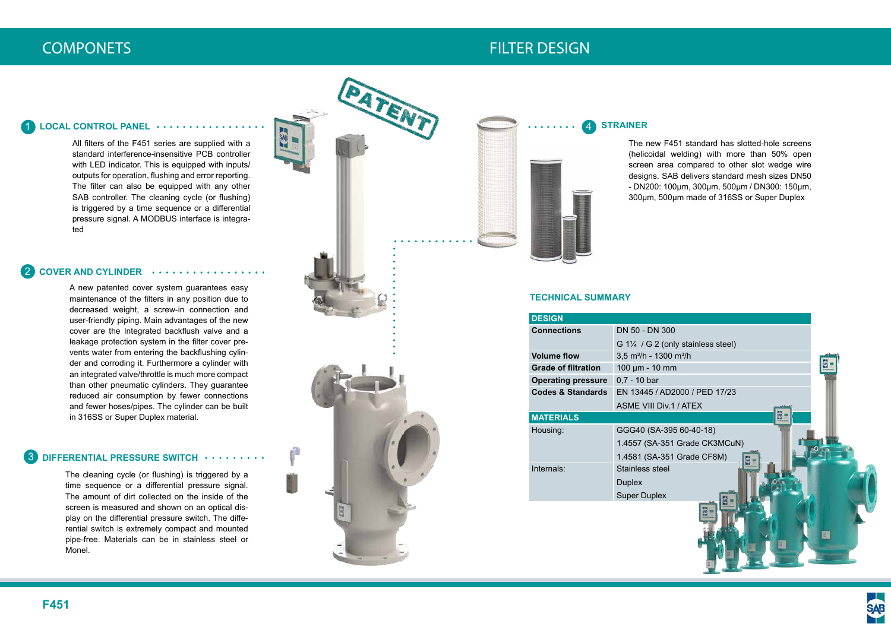



| <b>DESIGN</b>                |                                                |
|------------------------------|------------------------------------------------|
| <b>Connections</b>           | DN 50 - DN 300                                 |
|                              | G 11/4 / G 2 (only sta                         |
| <b>Volume flow</b>           | 3,5 m <sup>3</sup> /h - 1300 m <sup>3</sup> /h |
| <b>Grade of filtration</b>   | $100 \mu m - 10 \mu m$                         |
| <b>Operating pressure</b>    | $0,7 - 10$ bar                                 |
| <b>Codes &amp; Standards</b> | EN 13445 / AD2000                              |
|                              | <b>ASME VIII Div.1 / AT</b>                    |
| <b>MATERIALS</b>             |                                                |
| Housing:                     | GGG40 (SA-395 60-                              |
|                              | 1.4557 (SA-351 Gra                             |
|                              | 1.4581 (SA-351 Gra                             |
| Internals:                   | Stainless steel                                |
|                              | <b>Duplex</b>                                  |
|                              | <b>Super Duplex</b>                            |

# COMPONETS FILTER DESIGN

All filters of the F451 series are supplied with a standard interference-insensitive PCB controller with LED indicator. This is equipped with inputs/ outputs for operation, flushing and error reporting. The filter can also be equipped with any other SAB controller. The cleaning cycle (or flushing) is triggered by a time sequence or a differential pressure signal. A MODBUS interface is integrated

A new patented cover system guarantees easy maintenance of the filters in any position due to decreased weight, a screw-in connection and user-friendly piping. Main advantages of the new cover are the Integrated backflush valve and a leakage protection system in the filter cover prevents water from entering the backflushing cylinder and corroding it. Furthermore a cylinder with an integrated valve/throttle is much more compact than other pneumatic cylinders. They guarantee reduced air consumption by fewer connections and fewer hoses/pipes. The cylinder can be built in 316SS or Super Duplex material.

### **DIFFERENTIAL PRESSURE SWITCH** 3

#### **COVER AND CYLINDER**  2

#### **STRAINER** 4

#### **LOCAL CONTROL PANEL** 1

The new F451 standard has slotted-hole screens (helicoidal welding) with more than 50% open screen area compared to other slot wedge wire designs. SAB delivers standard mesh sizes DN50 - DN200: 100μm, 300μm, 500μm / DN300: 150μm, 300μm, 500μm made of 316SS or Super Duplex

The cleaning cycle (or flushing) is triggered by a time sequence or a differential pressure signal. The amount of dirt collected on the inside of the screen is measured and shown on an optical display on the differential pressure switch. The differential switch is extremely compact and mounted pipe-free. Materials can be in stainless steel or Monel.



#### **TECHNICAL SUMMARY**